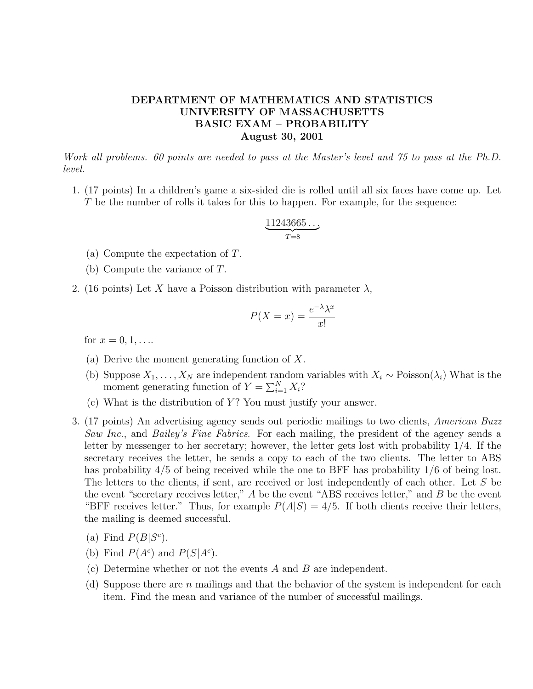## DEPARTMENT OF MATHEMATICS AND STATISTICS UNIVERSITY OF MASSACHUSETTS BASIC EXAM – PROBABILITY August 30, 2001

Work all problems. 60 points are needed to pass at the Master's level and 75 to pass at the Ph.D. level.

1. (17 points) In a children's game a six-sided die is rolled until all six faces have come up. Let T be the number of rolls it takes for this to happen. For example, for the sequence:

$$
\underbrace{11243665\ldots}_{T=8}
$$

- (a) Compute the expectation of T.
- (b) Compute the variance of T.
- 2. (16 points) Let X have a Poisson distribution with parameter  $\lambda$ ,

$$
P(X = x) = \frac{e^{-\lambda}\lambda^x}{x!}
$$

for  $x = 0, 1, \ldots$ 

- (a) Derive the moment generating function of X.
- (b) Suppose  $X_1, \ldots, X_N$  are independent random variables with  $X_i \sim \text{Poisson}(\lambda_i)$  What is the moment generating function of  $Y = \sum_{i=1}^{N} X_i$ ?
- (c) What is the distribution of  $Y$ ? You must justify your answer.
- 3. (17 points) An advertising agency sends out periodic mailings to two clients, American Buzz Saw Inc., and Bailey's Fine Fabrics. For each mailing, the president of the agency sends a letter by messenger to her secretary; however, the letter gets lost with probability 1/4. If the secretary receives the letter, he sends a copy to each of the two clients. The letter to ABS has probability  $4/5$  of being received while the one to BFF has probability  $1/6$  of being lost. The letters to the clients, if sent, are received or lost independently of each other. Let S be the event "secretary receives letter,"  $A$  be the event "ABS receives letter," and  $B$  be the event "BFF receives letter." Thus, for example  $P(A|S) = 4/5$ . If both clients receive their letters, the mailing is deemed successful.
	- (a) Find  $P(B|S<sup>c</sup>)$ .
	- (b) Find  $P(A^c)$  and  $P(S|A^c)$ .
	- (c) Determine whether or not the events  $A$  and  $B$  are independent.
	- (d) Suppose there are n mailings and that the behavior of the system is independent for each item. Find the mean and variance of the number of successful mailings.